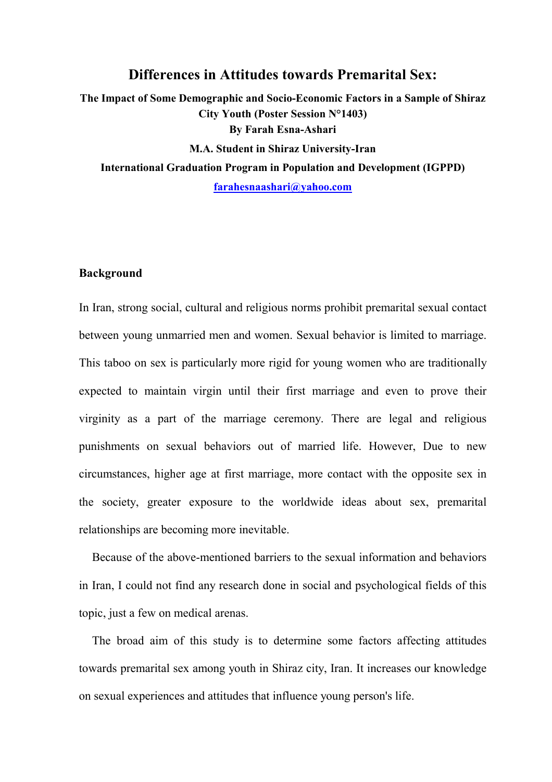## Differences in Attitudes towards Premarital Sex:

The Impact of Some Demographic and Socio-Economic Factors in a Sample of Shiraz City Youth (Poster Session N°1403) By Farah Esna-Ashari M.A. Student in Shiraz University-Iran International Graduation Program in Population and Development (IGPPD) farahesnaashari@yahoo.com

### Background

In Iran, strong social, cultural and religious norms prohibit premarital sexual contact between young unmarried men and women. Sexual behavior is limited to marriage. This taboo on sex is particularly more rigid for young women who are traditionally expected to maintain virgin until their first marriage and even to prove their virginity as a part of the marriage ceremony. There are legal and religious punishments on sexual behaviors out of married life. However, Due to new circumstances, higher age at first marriage, more contact with the opposite sex in the society, greater exposure to the worldwide ideas about sex, premarital relationships are becoming more inevitable.

Because of the above-mentioned barriers to the sexual information and behaviors in Iran, I could not find any research done in social and psychological fields of this topic, just a few on medical arenas.

The broad aim of this study is to determine some factors affecting attitudes towards premarital sex among youth in Shiraz city, Iran. It increases our knowledge on sexual experiences and attitudes that influence young person's life.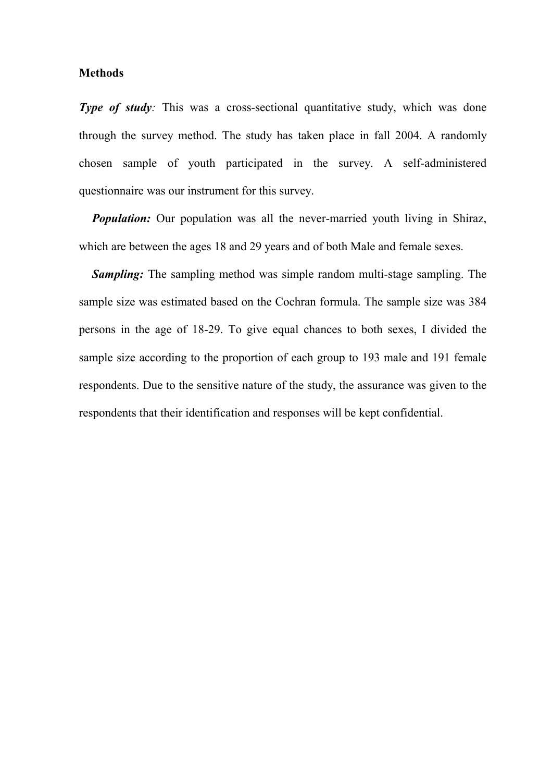### Methods

Type of study: This was a cross-sectional quantitative study, which was done through the survey method. The study has taken place in fall 2004. A randomly chosen sample of youth participated in the survey. A self-administered questionnaire was our instrument for this survey.

**Population:** Our population was all the never-married youth living in Shiraz, which are between the ages 18 and 29 years and of both Male and female sexes.

**Sampling:** The sampling method was simple random multi-stage sampling. The sample size was estimated based on the Cochran formula. The sample size was 384 persons in the age of 18-29. To give equal chances to both sexes, I divided the sample size according to the proportion of each group to 193 male and 191 female respondents. Due to the sensitive nature of the study, the assurance was given to the respondents that their identification and responses will be kept confidential.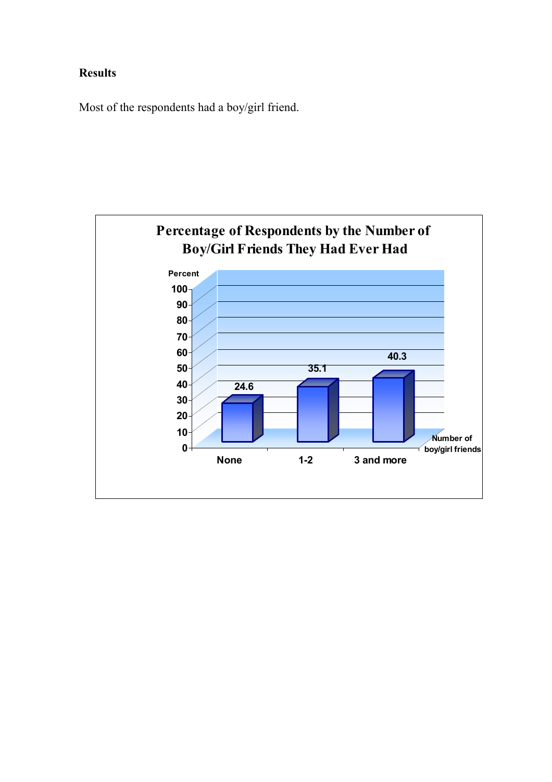# Results

Most of the respondents had a boy/girl friend.

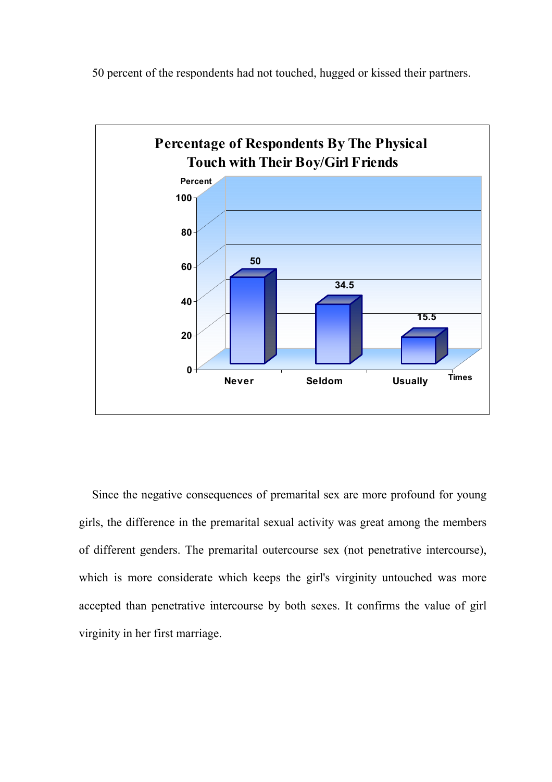50 percent of the respondents had not touched, hugged or kissed their partners.



Since the negative consequences of premarital sex are more profound for young girls, the difference in the premarital sexual activity was great among the members of different genders. The premarital outercourse sex (not penetrative intercourse), which is more considerate which keeps the girl's virginity untouched was more accepted than penetrative intercourse by both sexes. It confirms the value of girl virginity in her first marriage.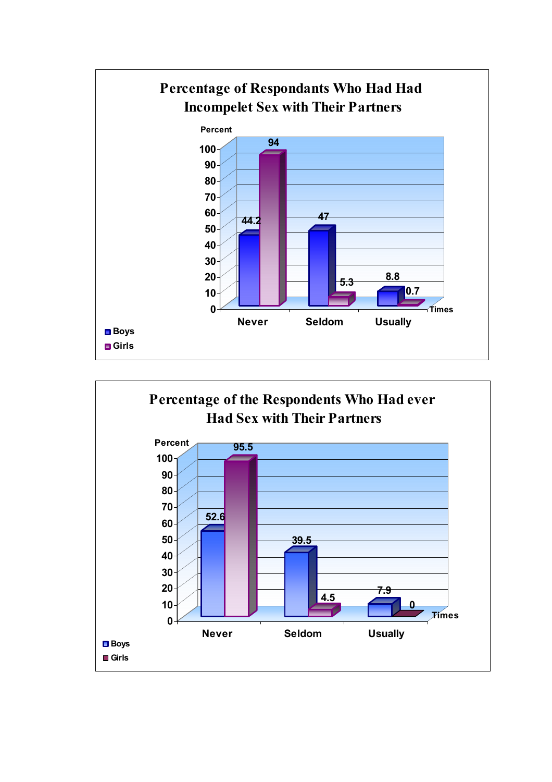

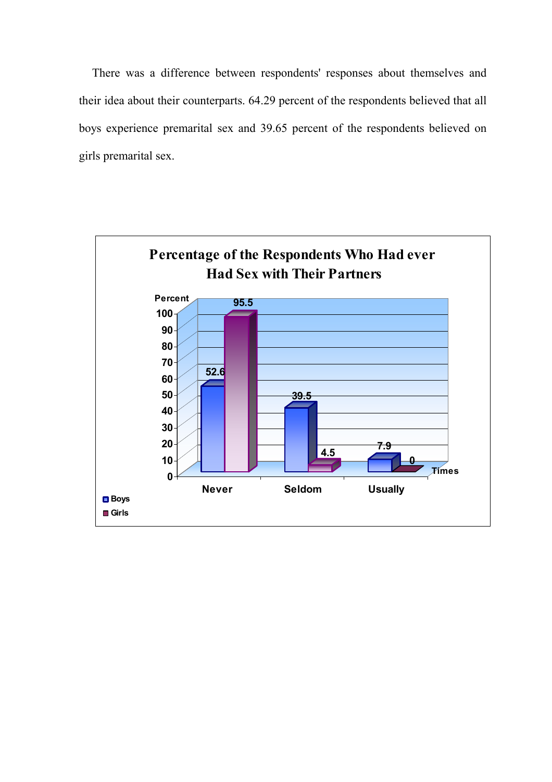There was a difference between respondents' responses about themselves and their idea about their counterparts. 64.29 percent of the respondents believed that all boys experience premarital sex and 39.65 percent of the respondents believed on girls premarital sex.

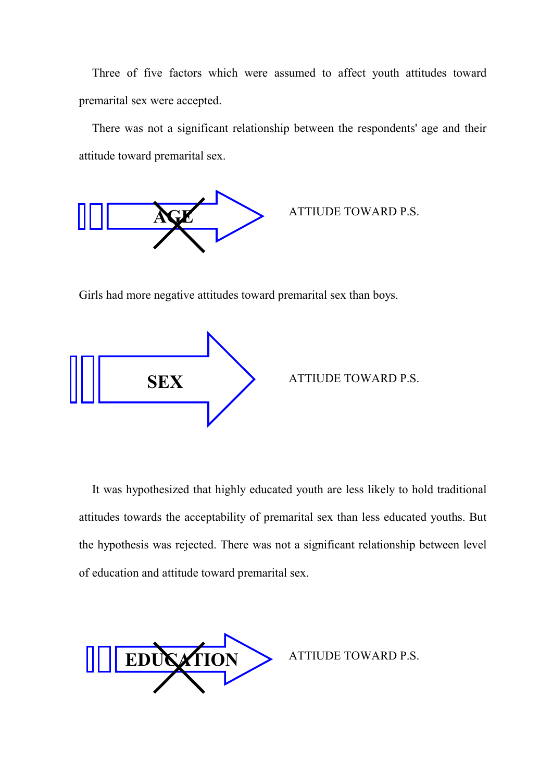Three of five factors which were assumed to affect youth attitudes toward premarital sex were accepted.

There was not a significant relationship between the respondents' age and their attitude toward premarital sex.



ATTIUDE TOWARD P.S.

Girls had more negative attitudes toward premarital sex than boys.



It was hypothesized that highly educated youth are less likely to hold traditional attitudes towards the acceptability of premarital sex than less educated youths. But the hypothesis was rejected. There was not a significant relationship between level of education and attitude toward premarital sex.



ATTIUDE TOWARD P.S.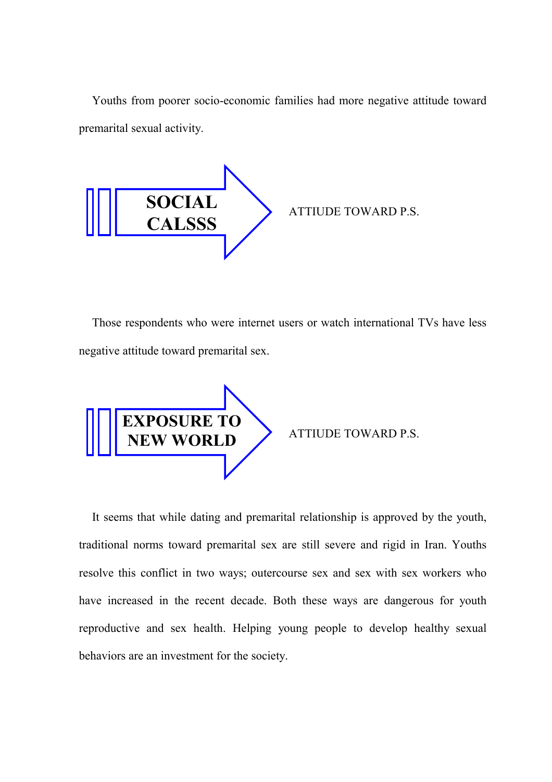Youths from poorer socio-economic families had more negative attitude toward premarital sexual activity.



Those respondents who were internet users or watch international TVs have less negative attitude toward premarital sex.



ATTIUDE TOWARD P.S.

It seems that while dating and premarital relationship is approved by the youth, traditional norms toward premarital sex are still severe and rigid in Iran. Youths resolve this conflict in two ways; outercourse sex and sex with sex workers who have increased in the recent decade. Both these ways are dangerous for youth reproductive and sex health. Helping young people to develop healthy sexual behaviors are an investment for the society.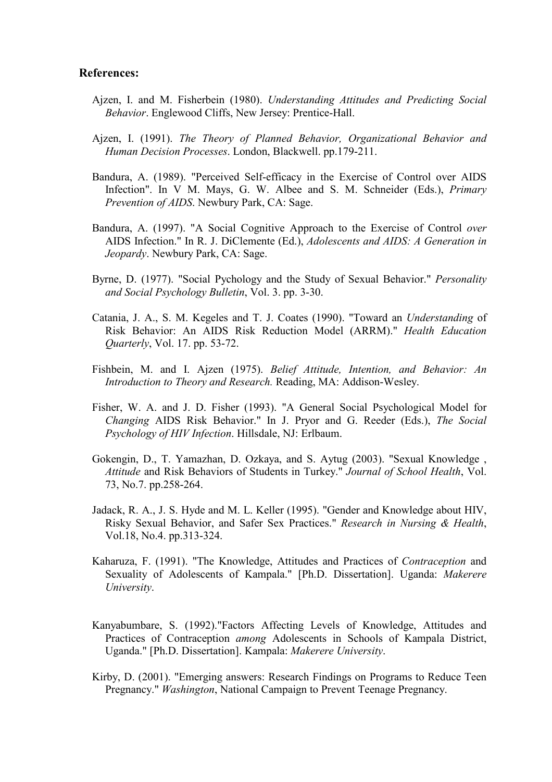#### References:

- Ajzen, I. and M. Fisherbein (1980). Understanding Attitudes and Predicting Social Behavior. Englewood Cliffs, New Jersey: Prentice-Hall.
- Ajzen, I. (1991). The Theory of Planned Behavior, Organizational Behavior and Human Decision Processes. London, Blackwell. pp.179-211.
- Bandura, A. (1989). "Perceived Self-efficacy in the Exercise of Control over AIDS Infection". In V M. Mays, G. W. Albee and S. M. Schneider (Eds.), Primary Prevention of AIDS. Newbury Park, CA: Sage.
- Bandura, A. (1997). "A Social Cognitive Approach to the Exercise of Control over AIDS Infection." In R. J. DiClemente (Ed.), Adolescents and AIDS: A Generation in Jeopardy. Newbury Park, CA: Sage.
- Byrne, D. (1977). "Social Pychology and the Study of Sexual Behavior." Personality and Social Psychology Bulletin, Vol. 3. pp. 3-30.
- Catania, J. A., S. M. Kegeles and T. J. Coates (1990). "Toward an Understanding of Risk Behavior: An AIDS Risk Reduction Model (ARRM)." Health Education Quarterly, Vol. 17. pp. 53-72.
- Fishbein, M. and I. Ajzen (1975). Belief Attitude, Intention, and Behavior: An Introduction to Theory and Research. Reading, MA: Addison-Wesley.
- Fisher, W. A. and J. D. Fisher (1993). "A General Social Psychological Model for Changing AIDS Risk Behavior." In J. Pryor and G. Reeder (Eds.), The Social Psychology of HIV Infection. Hillsdale, NJ: Erlbaum.
- Gokengin, D., T. Yamazhan, D. Ozkaya, and S. Aytug (2003). "Sexual Knowledge , Attitude and Risk Behaviors of Students in Turkey." Journal of School Health, Vol. 73, No.7. pp.258-264.
- Jadack, R. A., J. S. Hyde and M. L. Keller (1995). "Gender and Knowledge about HIV, Risky Sexual Behavior, and Safer Sex Practices." Research in Nursing & Health, Vol.18, No.4. pp.313-324.
- Kaharuza, F. (1991). "The Knowledge, Attitudes and Practices of Contraception and Sexuality of Adolescents of Kampala." [Ph.D. Dissertation]. Uganda: Makerere University.
- Kanyabumbare, S. (1992)."Factors Affecting Levels of Knowledge, Attitudes and Practices of Contraception among Adolescents in Schools of Kampala District, Uganda." [Ph.D. Dissertation]. Kampala: Makerere University.
- Kirby, D. (2001). "Emerging answers: Research Findings on Programs to Reduce Teen Pregnancy." Washington, National Campaign to Prevent Teenage Pregnancy.